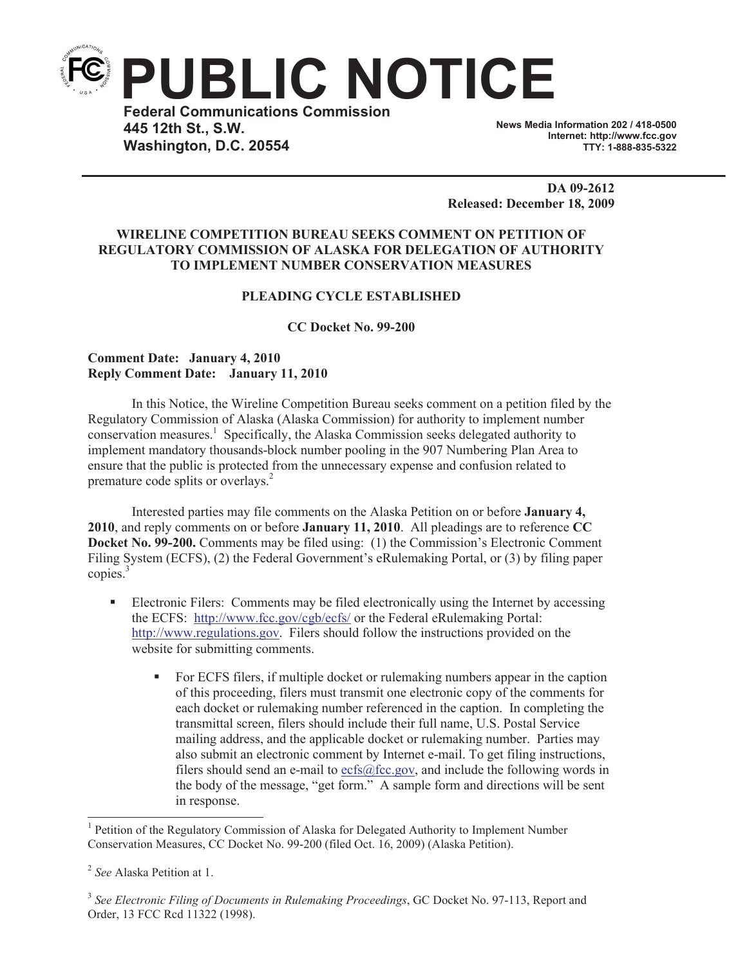

**News Media Information 202 / 418-0500 Internet: http://www.fcc.gov TTY: 1-888-835-5322**

**DA 09-2612 Released: December 18, 2009**

## **WIRELINE COMPETITION BUREAU SEEKS COMMENT ON PETITION OF REGULATORY COMMISSION OF ALASKA FOR DELEGATION OF AUTHORITY TO IMPLEMENT NUMBER CONSERVATION MEASURES**

## **PLEADING CYCLE ESTABLISHED**

**CC Docket No. 99-200**

## **Comment Date: January 4, 2010 Reply Comment Date: January 11, 2010**

In this Notice, the Wireline Competition Bureau seeks comment on a petition filed by the Regulatory Commission of Alaska (Alaska Commission) for authority to implement number conservation measures.<sup>1</sup> Specifically, the Alaska Commission seeks delegated authority to implement mandatory thousands-block number pooling in the 907 Numbering Plan Area to ensure that the public is protected from the unnecessary expense and confusion related to premature code splits or overlays.<sup>2</sup>

Interested parties may file comments on the Alaska Petition on or before **January 4, 2010**, and reply comments on or before **January 11, 2010**. All pleadings are to reference **CC Docket No. 99-200.** Comments may be filed using: (1) the Commission's Electronic Comment Filing System (ECFS), (2) the Federal Government's eRulemaking Portal, or (3) by filing paper copies.<sup>3</sup>

- Electronic Filers: Comments may be filed electronically using the Internet by accessing the ECFS: http://www.fcc.gov/cgb/ecfs/ or the Federal eRulemaking Portal: http://www.regulations.gov. Filers should follow the instructions provided on the website for submitting comments.
	- For ECFS filers, if multiple docket or rulemaking numbers appear in the caption of this proceeding, filers must transmit one electronic copy of the comments for each docket or rulemaking number referenced in the caption. In completing the transmittal screen, filers should include their full name, U.S. Postal Service mailing address, and the applicable docket or rulemaking number. Parties may also submit an electronic comment by Internet e-mail. To get filing instructions, filers should send an e-mail to  $\frac{\text{ecfs}(\partial x)$  fcc.gov, and include the following words in the body of the message, "get form." A sample form and directions will be sent in response.

<sup>&</sup>lt;sup>1</sup> Petition of the Regulatory Commission of Alaska for Delegated Authority to Implement Number Conservation Measures, CC Docket No. 99-200 (filed Oct. 16, 2009) (Alaska Petition).

<sup>2</sup> *See* Alaska Petition at 1.

<sup>3</sup> *See Electronic Filing of Documents in Rulemaking Proceedings*, GC Docket No. 97-113, Report and Order, 13 FCC Rcd 11322 (1998).